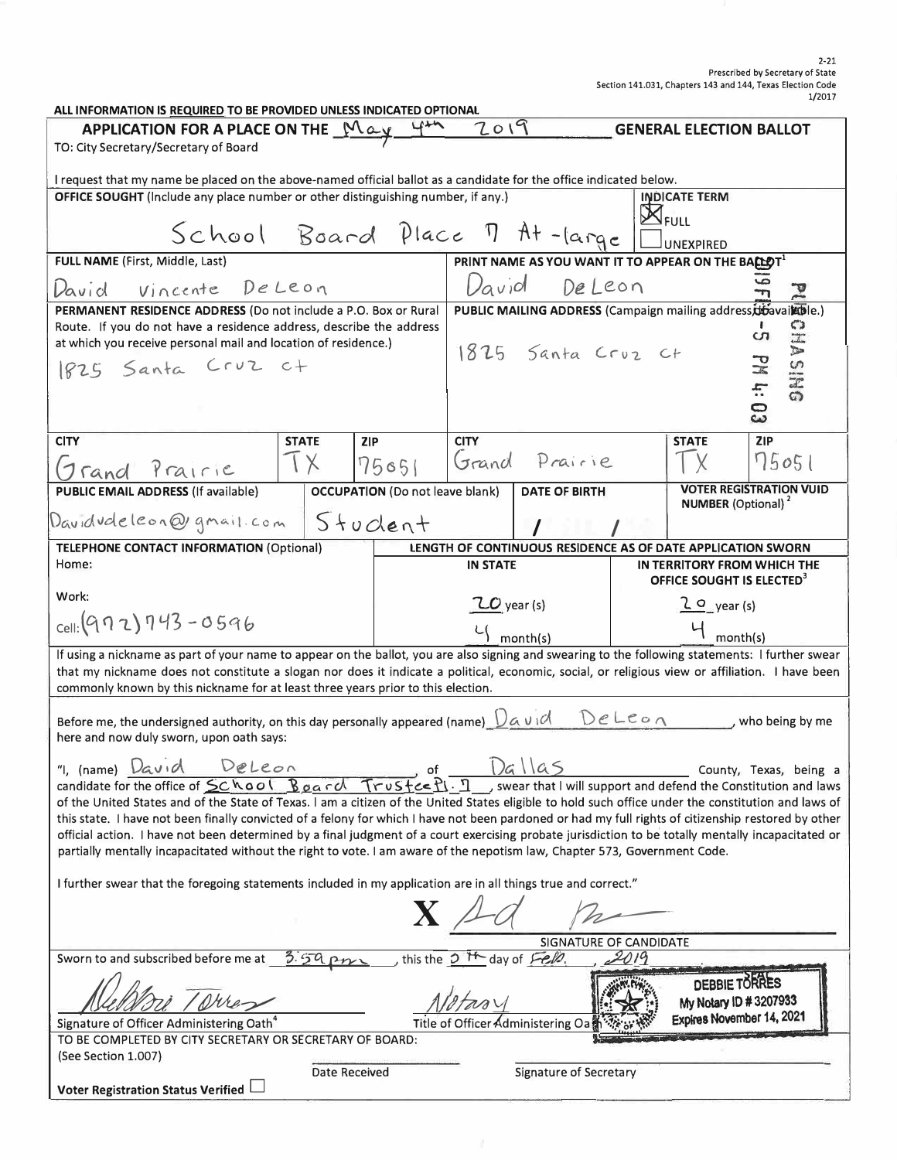#### Prescribed by Secretary of State Section 141.031, Chapters 143 and 144, Texas Election Code 1/2017

| ALL INFORMATION IS REQUIRED TO BE PROVIDED UNLESS INDICATED OPTIONAL                                                                                                                |                      |                                        |                                                                 |                               |  |                                                                      |  |
|-------------------------------------------------------------------------------------------------------------------------------------------------------------------------------------|----------------------|----------------------------------------|-----------------------------------------------------------------|-------------------------------|--|----------------------------------------------------------------------|--|
| 2019<br>APPLICATION FOR A PLACE ON THE $M\alpha y$ of $\alpha$<br><b>GENERAL ELECTION BALLOT</b>                                                                                    |                      |                                        |                                                                 |                               |  |                                                                      |  |
| TO: City Secretary/Secretary of Board                                                                                                                                               |                      |                                        |                                                                 |                               |  |                                                                      |  |
| I request that my name be placed on the above-named official ballot as a candidate for the office indicated below.                                                                  |                      |                                        |                                                                 |                               |  |                                                                      |  |
| <b>OFFICE SOUGHT</b> (Include any place number or other distinguishing number, if any.)                                                                                             |                      |                                        |                                                                 |                               |  | <b>INDICATE TERM</b>                                                 |  |
|                                                                                                                                                                                     |                      |                                        |                                                                 |                               |  | <b>X</b> FULL                                                        |  |
| School Board Place 7 At-large                                                                                                                                                       |                      |                                        |                                                                 |                               |  |                                                                      |  |
|                                                                                                                                                                                     |                      |                                        |                                                                 |                               |  | <b>UNEXPIRED</b>                                                     |  |
| FULL NAME (First, Middle, Last)                                                                                                                                                     |                      |                                        | PRINT NAME AS YOU WANT IT TO APPEAR ON THE BACLOT <sup>1</sup>  |                               |  |                                                                      |  |
| Vincente De Leon<br>David                                                                                                                                                           |                      |                                        | David DeLeon                                                    |                               |  |                                                                      |  |
| PERMANENT RESIDENCE ADDRESS (Do not include a P.O. Box or Rural                                                                                                                     |                      |                                        | PUBLIC MAILING ADDRESS (Campaign mailing address, diavaik ble.) |                               |  |                                                                      |  |
| Route. If you do not have a residence address, describe the address                                                                                                                 |                      |                                        |                                                                 | $\frac{53}{111}$<br><b>CO</b> |  |                                                                      |  |
| at which you receive personal mail and location of residence.)                                                                                                                      |                      |                                        | 1825 Santa Croz Ct                                              |                               |  |                                                                      |  |
| 1825 Santa Cruz ct                                                                                                                                                                  |                      |                                        |                                                                 |                               |  | DNISV<br>$\frac{1}{\mathbf{z}}$                                      |  |
|                                                                                                                                                                                     |                      |                                        |                                                                 |                               |  |                                                                      |  |
|                                                                                                                                                                                     |                      |                                        |                                                                 |                               |  | 4:03                                                                 |  |
| <b>CITY</b>                                                                                                                                                                         | <b>STATE</b>         | 2 P                                    | <b>CITY</b>                                                     |                               |  | <b>ZIP</b><br><b>STATE</b>                                           |  |
|                                                                                                                                                                                     |                      |                                        |                                                                 | 75051 Grand Prairie           |  | 75051                                                                |  |
| Trand Prairie                                                                                                                                                                       | $1 \times$           |                                        |                                                                 |                               |  |                                                                      |  |
| PUBLIC EMAIL ADDRESS (If available)                                                                                                                                                 |                      | <b>OCCUPATION</b> (Do not leave blank) |                                                                 | <b>DATE OF BIRTH</b>          |  | <b>VOTER REGISTRATION VUID</b>                                       |  |
| Davidudeleon@gmail.com                                                                                                                                                              |                      | Student                                |                                                                 |                               |  | <b>NUMBER</b> (Optional) <sup>2</sup>                                |  |
|                                                                                                                                                                                     |                      |                                        |                                                                 |                               |  |                                                                      |  |
| <b>TELEPHONE CONTACT INFORMATION (Optional)</b>                                                                                                                                     |                      |                                        |                                                                 |                               |  | LENGTH OF CONTINUOUS RESIDENCE AS OF DATE APPLICATION SWORN          |  |
| Home:                                                                                                                                                                               |                      |                                        | <b>IN STATE</b>                                                 |                               |  | IN TERRITORY FROM WHICH THE<br>OFFICE SOUGHT IS ELECTED <sup>3</sup> |  |
| Work:                                                                                                                                                                               |                      |                                        |                                                                 |                               |  |                                                                      |  |
| $_{cell:}(972)743 - 0596$                                                                                                                                                           |                      |                                        | $20$ year (s)                                                   |                               |  | $20$ year (s)                                                        |  |
|                                                                                                                                                                                     |                      |                                        |                                                                 | $\frac{L}{\sqrt{2}}$ month(s) |  | $4$ month(s)                                                         |  |
| If using a nickname as part of your name to appear on the ballot, you are also signing and swearing to the following statements: I further swear                                    |                      |                                        |                                                                 |                               |  |                                                                      |  |
| that my nickname does not constitute a slogan nor does it indicate a political, economic, social, or religious view or affiliation. I have been                                     |                      |                                        |                                                                 |                               |  |                                                                      |  |
| commonly known by this nickname for at least three years prior to this election.                                                                                                    |                      |                                        |                                                                 |                               |  |                                                                      |  |
| Before me, the undersigned authority, on this day personally appeared (name) $\bigcup_{\alpha} \cup \emptyset$ $\beta$<br>, who being by me                                         |                      |                                        |                                                                 |                               |  |                                                                      |  |
| here and now duly sworn, upon oath says:                                                                                                                                            |                      |                                        |                                                                 |                               |  |                                                                      |  |
|                                                                                                                                                                                     |                      |                                        |                                                                 |                               |  |                                                                      |  |
| DeLeon<br>"I, (name) $David$<br>1a5<br>County, Texas, being a<br>candidate for the office of School Board Trustce<br>swear that I will support and defend the Constitution and laws |                      |                                        |                                                                 |                               |  |                                                                      |  |
| of the United States and of the State of Texas. I am a citizen of the United States eligible to hold such office under the constitution and laws of                                 |                      |                                        |                                                                 |                               |  |                                                                      |  |
| this state. I have not been finally convicted of a felony for which I have not been pardoned or had my full rights of citizenship restored by other                                 |                      |                                        |                                                                 |                               |  |                                                                      |  |
| official action. I have not been determined by a final judgment of a court exercising probate jurisdiction to be totally mentally incapacitated or                                  |                      |                                        |                                                                 |                               |  |                                                                      |  |
| partially mentally incapacitated without the right to vote. I am aware of the nepotism law, Chapter 573, Government Code.                                                           |                      |                                        |                                                                 |                               |  |                                                                      |  |
| I further swear that the foregoing statements included in my application are in all things true and correct."                                                                       |                      |                                        |                                                                 |                               |  |                                                                      |  |
|                                                                                                                                                                                     |                      |                                        |                                                                 |                               |  |                                                                      |  |
| $\mathbf{X}\not\perp$                                                                                                                                                               |                      |                                        |                                                                 |                               |  |                                                                      |  |
| SIGNATURE OF CANDIDATE                                                                                                                                                              |                      |                                        |                                                                 |                               |  |                                                                      |  |
| Sworn to and subscribed before me at<br>$3.59$ pm<br>this the 3 <sup>H</sup> day of Fello,                                                                                          |                      |                                        |                                                                 |                               |  |                                                                      |  |
| DEBBIE TORRES                                                                                                                                                                       |                      |                                        |                                                                 |                               |  |                                                                      |  |
|                                                                                                                                                                                     |                      |                                        |                                                                 |                               |  | My Notary ID #3207933                                                |  |
| Expires November 14, 2021<br>Signature of Officer Administering Oath <sup>4</sup><br>Title of Officer Administering Oat                                                             |                      |                                        |                                                                 |                               |  |                                                                      |  |
| TO BE COMPLETED BY CITY SECRETARY OR SECRETARY OF BOARD:                                                                                                                            |                      |                                        |                                                                 |                               |  |                                                                      |  |
| (See Section 1.007)                                                                                                                                                                 | <b>Date Received</b> |                                        |                                                                 | Signature of Secretary        |  |                                                                      |  |
| Voter Registration Status Verified                                                                                                                                                  |                      |                                        |                                                                 |                               |  |                                                                      |  |
|                                                                                                                                                                                     |                      |                                        |                                                                 |                               |  |                                                                      |  |

2-21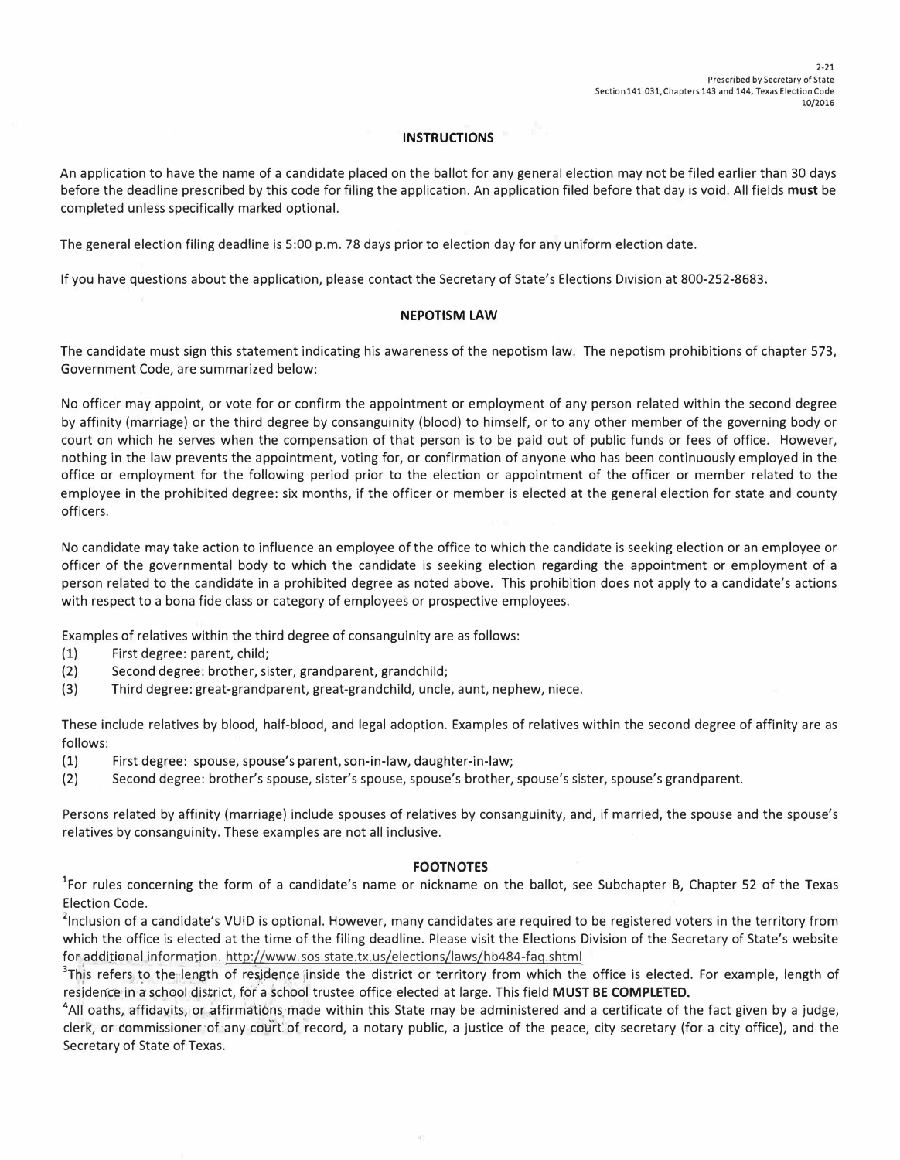## **INSTRUCTIONS**

An application to have the name of a candidate placed on the ballot for any general election may not be filed earlier than 30 days before the deadline prescribed by this code for filing the application. An application filed before that day is void. All fields **must** be completed unless specifically marked optional.

The general election filing deadline is 5:00 p.m. 78 days prior to election day for any uniform election date.

If you have questions about the application, please contact the Secretary of State's Elections Division at 800-252-8683.

### **NEPOTISM LAW**

The candidate must sign this statement indicating his awareness of the nepotism law. The nepotism prohibitions of chapter 573, Government Code, are summarized below:

No officer may appoint, or vote for or confirm the appointment or employment of any person related within the second degree by affinity (marriage) or the third degree by consanguinity (blood) to himself, or to any other member of the governing body or court on which he serves when the compensation of that person is to be paid out of public funds or fees of office. However, nothing in the law prevents the appointment, voting for, or confirmation of anyone who has been continuously employed in the office or employment for the following period prior to the election or appointment of the officer or member related to the employee in the prohibited degree: six months, if the officer or member is elected at the general election for state and county officers.

No candidate may take action to influence an employee of the office to which the candidate is seeking election or an employee or officer of the governmental body to which the candidate is seeking election regarding the appointment or employment of a person related to the candidate in a prohibited degree as noted above. This prohibition does not apply to a candidate's actions with respect to a bona fide class or category of employees or prospective employees.

Examples of relatives within the third degree of consanguinity are as follows:

- (1) First degree: parent, child;
- (2) Second degree: brother, sister, grandparent, grandchild;
- (3) Third degree: great-grandparent, great-grandchild, uncle, aunt, nephew, niece.

These include relatives by blood, half-blood, and legal adoption. Examples of relatives within the second degree of affinity are as follows:

- (1) First degree: spouse, spouse's parent, son-in-law, daughter-in-law;
- (2) Second degree: brother's spouse, sister's spouse, spouse's brother, spouse's sister, spouse's grandparent.

Persons related by affinity (marriage) include spouses of relatives by consanguinity, and, if married, the spouse and the spouse's relatives by consanguinity. These examples are not all inclusive.

### **FOOTNOTES**

<sup>1</sup>For rules concerning the form of a candidate's name or nickname on the ballot, see Subchapter B, Chapter 52 of the Texas Election Code.

<sup>2</sup>Inclusion of a candidate's VUID is optional. However, many candidates are required to be registered voters in the territory from which the office is elected at the time of the filing deadline. Please visit the Elections Division of the Secretary of State's website for additional information. http://www.sos.state.tx.us/elections/laws/hb484-faq.shtml

<sup>3</sup>This refers to the length of residence inside the district or territory from which the office is elected. For example, length of residence in a school:district, for a school trustee office elected at large. This field **MUST BE COMPLETED.** 

<sup>4</sup>All oaths, affidavits, or affirmations made within this State may be administered and a certificate of the fact given by a judge, clerk, or commissioner of any court of record, a notary public, a justice of the peace, city secretary (for a city office), and the Secretary of State of Texas.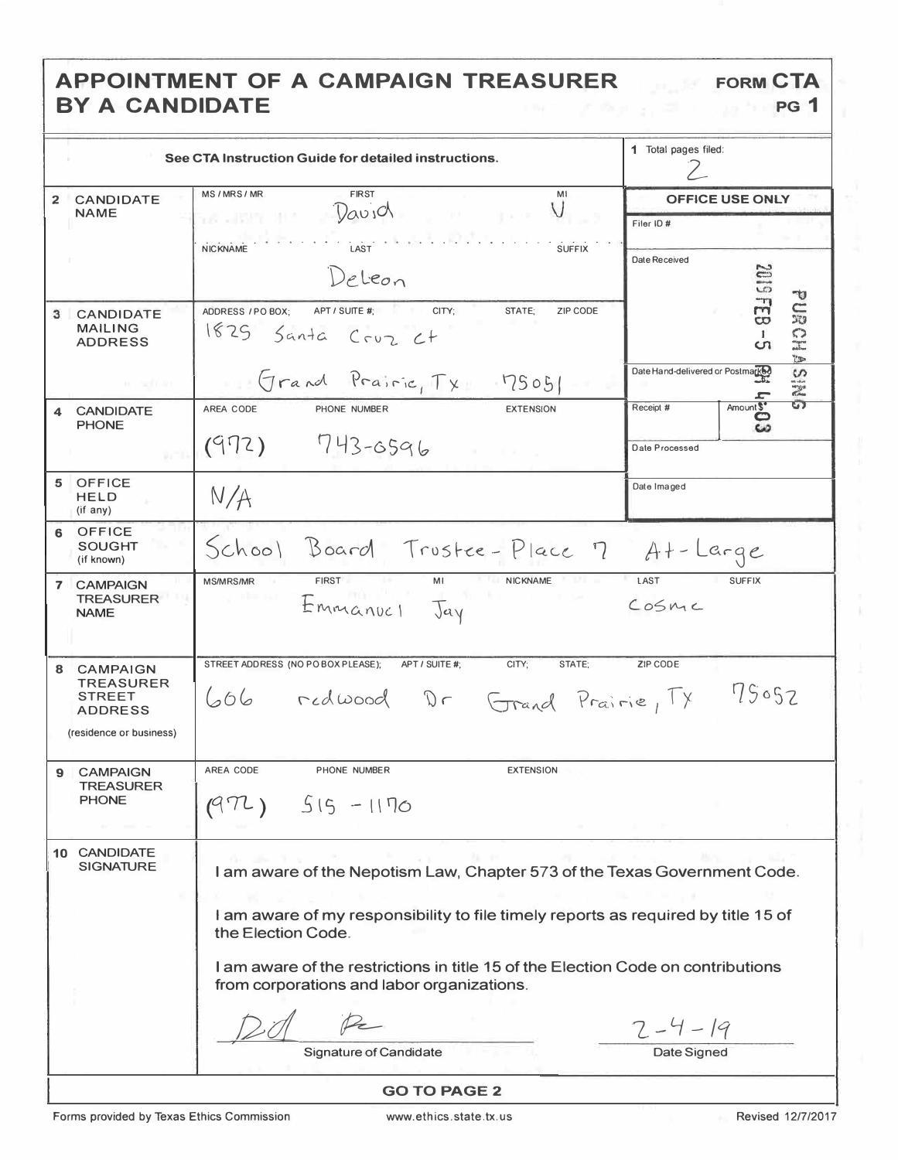# APPOINTMENT OF A CAMPAIGN TREASURER BY A CANDIDATE

|             | See CTA Instruction Guide for detailed instructions.                                                                           | 1 Total pages filed:                                                              |                                   |                                            |  |  |
|-------------|--------------------------------------------------------------------------------------------------------------------------------|-----------------------------------------------------------------------------------|-----------------------------------|--------------------------------------------|--|--|
|             | <b>CANDIDATE</b>                                                                                                               | MS/MRS/MR<br><b>FIRST</b><br>MI.                                                  | OFFICE USE ONLY                   |                                            |  |  |
|             | NAME                                                                                                                           | $V_{av}$<br>and the company                                                       | Filer ID#                         |                                            |  |  |
|             |                                                                                                                                | t spring<br>LAST <sup>'</sup><br><b>SUFFIX</b><br><b>NICKNAME</b>                 |                                   |                                            |  |  |
|             |                                                                                                                                |                                                                                   | Date Received                     |                                            |  |  |
|             |                                                                                                                                | Deleon                                                                            |                                   | <b>2019</b>                                |  |  |
| 3           | <b>CANDIDATE</b>                                                                                                               | ADDRESS / PO BOX:<br>APT / SUITE #;<br>ZIP CODE<br>CITY;<br>STATE:                |                                   | v<br>$\frac{1}{6}$<br>$\frac{1}{20}$       |  |  |
|             | <b>MAILING</b><br><b>ADDRESS</b>                                                                                               | 1825 Santa Cruz Ct                                                                |                                   | 5<br>$\mathbf{I}$                          |  |  |
|             |                                                                                                                                |                                                                                   |                                   | ပၫ<br><b>YES</b>                           |  |  |
|             | <b>HE SULFATE</b>                                                                                                              | Grand Prairie, Tx 75051                                                           | Date Hand-delivered or Postmarked | S<br>一時                                    |  |  |
| 4           | <b>CANDIDATE</b>                                                                                                               | AREA CODE<br><b>EXTENSION</b><br>PHONE NUMBER                                     | Receipt #                         | $\overline{\mathbf{G}}$<br>Amount \$*<br>ဥ |  |  |
|             | <b>PHONE</b>                                                                                                                   | 743-6596<br>(972)                                                                 | Date Processed                    |                                            |  |  |
|             | Vario                                                                                                                          |                                                                                   |                                   |                                            |  |  |
| 5           | <b>OFFICE</b>                                                                                                                  |                                                                                   | Date Imaged                       |                                            |  |  |
|             | <b>HELD</b><br>$(if$ any)                                                                                                      | N/A                                                                               |                                   |                                            |  |  |
| 6           | <b>OFFICE</b>                                                                                                                  |                                                                                   |                                   |                                            |  |  |
|             | <b>SOUGHT</b><br>(if known)                                                                                                    | School Board Trustee-Place 7 At-Large                                             |                                   |                                            |  |  |
| $7^{\circ}$ | <b>CAMPAIGN</b>                                                                                                                | <b>MS/MRS/MR</b><br><b>NICKNAME</b><br><b>FIRST</b><br>MI                         | LAST                              | <b>SUFFIX</b>                              |  |  |
|             | <b>TREASURER</b><br><b>NAME</b>                                                                                                | Emmanuel Jay                                                                      | COSMC                             |                                            |  |  |
|             |                                                                                                                                |                                                                                   |                                   |                                            |  |  |
|             |                                                                                                                                |                                                                                   |                                   |                                            |  |  |
| 8           | <b>CAMPAIGN</b><br><b>TREASURER</b>                                                                                            | STREET ADDRESS (NO PO BOX PLEASE);<br>APT / SUITE #:<br>CITY;<br>STATE;           | ZIP CODE                          |                                            |  |  |
|             | <b>STREET</b>                                                                                                                  | 606 redwood Dr Grand Prairie, TX                                                  |                                   | 75052                                      |  |  |
|             | <b>ADDRESS</b>                                                                                                                 |                                                                                   |                                   |                                            |  |  |
|             | (residence or business)                                                                                                        |                                                                                   |                                   |                                            |  |  |
| 9           | <b>CAMPAIGN</b>                                                                                                                | AREA CODE<br>PHONE NUMBER<br><b>EXTENSION</b>                                     |                                   |                                            |  |  |
|             | <b>TREASURER</b><br><b>PHONE</b>                                                                                               |                                                                                   |                                   |                                            |  |  |
|             |                                                                                                                                | $515 - 1170$<br>(97L)                                                             |                                   |                                            |  |  |
|             |                                                                                                                                |                                                                                   |                                   |                                            |  |  |
|             | 10 CANDIDATE<br><b>SIGNATURE</b>                                                                                               | I am aware of the Nepotism Law, Chapter 573 of the Texas Government Code.         |                                   |                                            |  |  |
|             |                                                                                                                                |                                                                                   |                                   |                                            |  |  |
|             |                                                                                                                                | I am aware of my responsibility to file timely reports as required by title 15 of |                                   |                                            |  |  |
|             |                                                                                                                                | the Election Code.                                                                |                                   |                                            |  |  |
|             |                                                                                                                                |                                                                                   |                                   |                                            |  |  |
|             | I am aware of the restrictions in title 15 of the Election Code on contributions<br>from corporations and labor organizations. |                                                                                   |                                   |                                            |  |  |
|             |                                                                                                                                |                                                                                   |                                   |                                            |  |  |
|             |                                                                                                                                |                                                                                   | $2 - 4 - 19$                      |                                            |  |  |
|             |                                                                                                                                | <b>Signature of Candidate</b>                                                     | Date Signed                       |                                            |  |  |
|             |                                                                                                                                |                                                                                   |                                   |                                            |  |  |
|             |                                                                                                                                | <b>GO TO PAGE 2</b>                                                               |                                   |                                            |  |  |

FORM CTA

PG<sub>1</sub>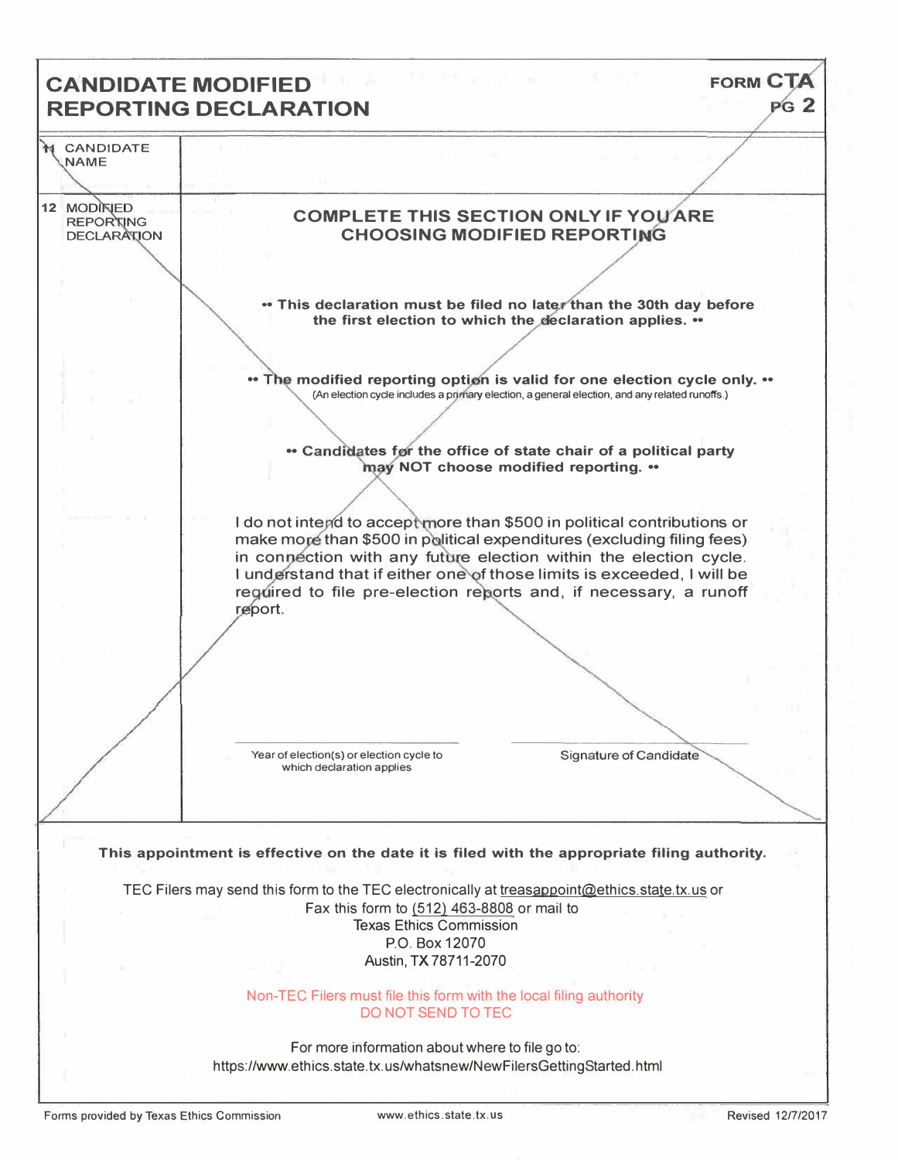# FORM CT **CANDIDATE MODIFIED**   $pG$  2 **REPORTING DECLARATION CANDIDATE NAME**  12 **MODIFIED COMPLETE THIS SECTION ONLY IF YOU ARE REPORTING** DECLARATION **CHOOSING MODIFIED REPORTING** • This declaration must be filed no later than the 30th day before the first election to which the declaration applies. •• The modified reporting option is valid for one election cycle only. •• (An election cycle includes a primary election, a general election, and any related runoffs.) **<sup>\*</sup>** Candidates for the office of state chair of a political party **may NOT choose modified reporting. ••** I do not intend to accept more than \$500 in political contributions or make more than \$500 in political expenditures (excluding filing fees) in connection with any future election within the election cycle. **I understand that if either one of those limits is exceeded, I will be** required to file pre-election reports and, if necessary, a runoff report. Year of election(s) or election cycle to Signature of Candidate which declaration applies **This appointment is effective on the date it is filed with the appropriate filing authority.**  TEC Filers may send this form to the TEC electronically at treasappoint@ethics.state.tx.us or Fax this form to (512) 463-8808 or mail to Texas Ethics Commission P.O. Box 12070 Austin, TX 78711-2070 Non-TEC Filers must file this form with the local filing authority DO NOT SEND TO TEC

For more information about where to file go to: https://www.ethics.state.tx.us/whatsnew/NewFilersGettingStarted.html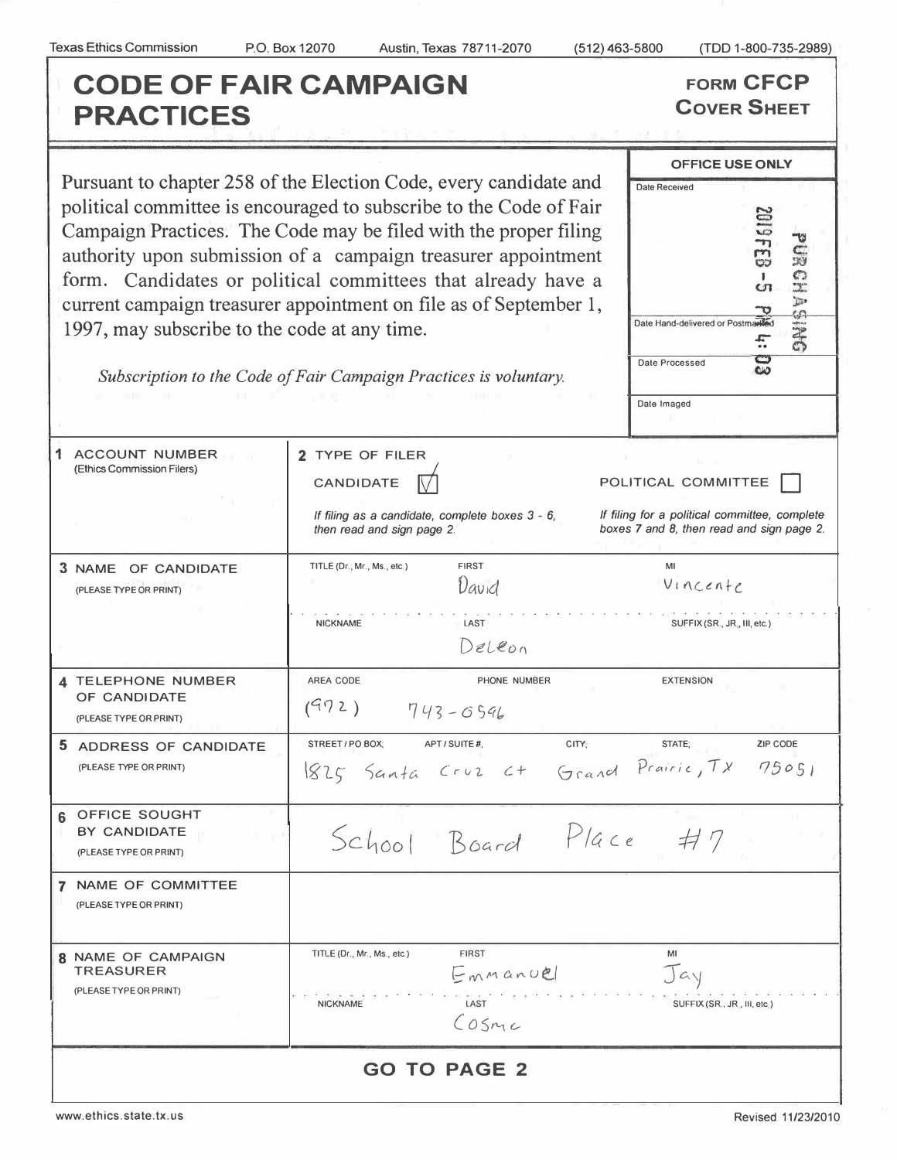**PRACTICES** 

**CODE OF FAIR CAMPAIGN FORM CFCP<br>
<b>PRACTICES** COVER SHEET

Pursuant to chapter 258 of the Election Code, every candidate and **Date Received** political committee is encouraged to subscribe to the Code of Fair Campaign Practices. The Code may be filed with the proper filing<br>authority upon submission of a campaign treasurer appointment<br>form. Candidates or political committees that already have a<br>current campaign treasurer appoint authority upon submission of a campaign treasurer appointment form. Candidates or political committees that already have a current campaign treasurer appointment on file as of September 1, 1997, may subscribe to the code at any time.

**OFFICE USE ONLY**  *.r:-*.. *�* **Date Processed** .\_, **Date Imaged** 

*Subscription to the Code of Fair Campaign Practices is voluntary.* 

 $\overline{1}$ 

| <b>ACCOUNT NUMBER</b><br>(Ethics Commission Filers)<br>3 NAME OF CANDIDATE<br>(PLEASE TYPE OR PRINT) | 2 TYPE OF FILER<br><b>CANDIDATE</b><br>If filing as a candidate, complete boxes 3 - 6,<br>then read and sign page 2.<br><b>FIRST</b><br>TITLE (Dr., Mr., Ms., etc.)<br>David<br><b>NICKNAME</b><br>LAST | POLITICAL COMMITTEE<br>If filing for a political committee, complete<br>boxes 7 and 8, then read and sign page 2.<br>MI<br>Vincenfe<br>SUFFIX (SR., JR., III, etc.) |  |  |  |  |  |
|------------------------------------------------------------------------------------------------------|---------------------------------------------------------------------------------------------------------------------------------------------------------------------------------------------------------|---------------------------------------------------------------------------------------------------------------------------------------------------------------------|--|--|--|--|--|
|                                                                                                      | Deleon                                                                                                                                                                                                  |                                                                                                                                                                     |  |  |  |  |  |
| 4 TELEPHONE NUMBER<br>OF CANDIDATE<br>(PLEASE TYPE OR PRINT)                                         | AREA CODE<br>PHONE NUMBER<br>(972)<br>$743 - 0596$                                                                                                                                                      | <b>EXTENSION</b>                                                                                                                                                    |  |  |  |  |  |
| 5 ADDRESS OF CANDIDATE<br>(PLEASE TYPE OR PRINT)                                                     | STREET / PO BOX:<br>APT / SUITE #<br>1825 Santa Cruz Ct Grand Prairie, TX 75051                                                                                                                         | CITY,<br>STATE;<br><b>ZIP CODE</b>                                                                                                                                  |  |  |  |  |  |
| <b>OFFICE SOUGHT</b><br>հ<br>BY CANDIDATE<br>(PLEASE TYPE OR PRINT)                                  | School Board Place #7                                                                                                                                                                                   |                                                                                                                                                                     |  |  |  |  |  |
| NAME OF COMMITTEE<br>(PLEASE TYPE OR PRINT)                                                          |                                                                                                                                                                                                         |                                                                                                                                                                     |  |  |  |  |  |
| <b>8 NAME OF CAMPAIGN</b><br><b>TREASURER</b><br>(PLEASE TYPE OR PRINT)                              | <b>FIRST</b><br>TITLE (Dr., Mr., Ms., etc.)<br>Emmanuel<br>LAST<br><b>NICKNAME</b><br>COSmc                                                                                                             | MI<br>Jay<br>SUFFIX (SR., JR., III, etc.)                                                                                                                           |  |  |  |  |  |
| <b>GO TO PAGE 2</b>                                                                                  |                                                                                                                                                                                                         |                                                                                                                                                                     |  |  |  |  |  |